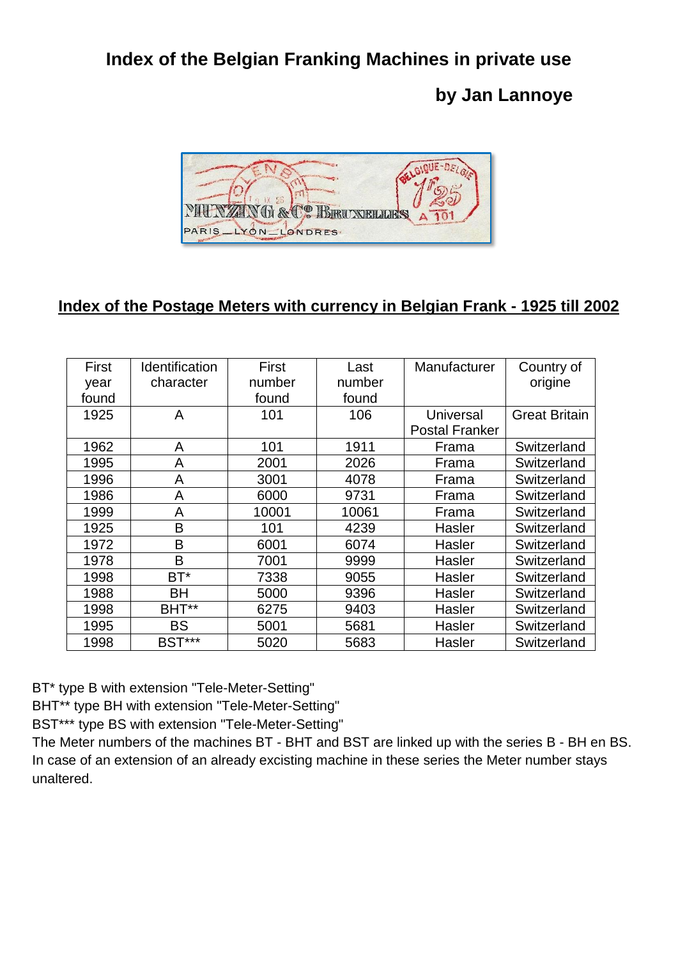## **Index of the Belgian Franking Machines in private use**

## **by Jan Lannoye**



## **Index of the Postage Meters with currency in Belgian Frank - 1925 till 2002**

| First<br>year<br>found | Identification<br>character | First<br>number | Last<br>number | Manufacturer                       | Country of<br>origine |
|------------------------|-----------------------------|-----------------|----------------|------------------------------------|-----------------------|
|                        |                             | found           | found          |                                    |                       |
| 1925                   | A                           | 101             | 106            | Universal<br><b>Postal Franker</b> | <b>Great Britain</b>  |
| 1962                   | A                           | 101             | 1911           | Frama                              | Switzerland           |
| 1995                   | A                           | 2001            | 2026           | Frama                              | Switzerland           |
| 1996                   | A                           | 3001            | 4078           | Frama                              | Switzerland           |
| 1986                   | A                           | 6000            | 9731           | Frama                              | Switzerland           |
| 1999                   | A                           | 10001           | 10061          | Frama                              | Switzerland           |
| 1925                   | B                           | 101             | 4239           | Hasler                             | Switzerland           |
| 1972                   | B                           | 6001            | 6074           | Hasler                             | Switzerland           |
| 1978                   | B                           | 7001            | 9999           | Hasler                             | Switzerland           |
| 1998                   | $BT^*$                      | 7338            | 9055           | Hasler                             | Switzerland           |
| 1988                   | <b>BH</b>                   | 5000            | 9396           | Hasler                             | Switzerland           |
| 1998                   | BHT**                       | 6275            | 9403           | Hasler                             | Switzerland           |
| 1995                   | <b>BS</b>                   | 5001            | 5681           | Hasler                             | Switzerland           |
| 1998                   | <b>BST***</b>               | 5020            | 5683           | Hasler                             | Switzerland           |

BT\* type B with extension "Tele-Meter-Setting"

BHT\*\* type BH with extension "Tele-Meter-Setting"

BST\*\*\* type BS with extension "Tele-Meter-Setting"

The Meter numbers of the machines BT - BHT and BST are linked up with the series B - BH en BS. In case of an extension of an already excisting machine in these series the Meter number stays unaltered.